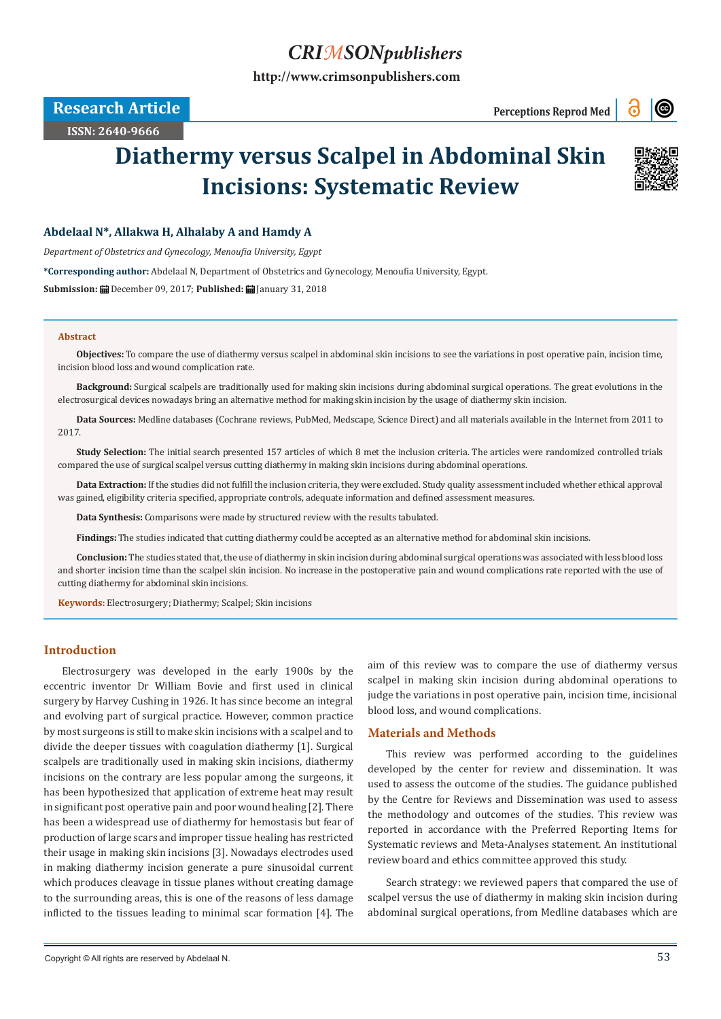# *CRIMSONpublishers*

**[http://www.crimsonpublishers.com](http://crimsonpublishers.com)**

**Research Article Perceptions Reprod Med** 

# $\odot$

**ISSN: 2640-9666**

# **Diathermy versus Scalpel in Abdominal Skin Incisions: Systematic Review**



### **Abdelaal N\*, Allakwa H, Alhalaby A and Hamdy A**

*Department of Obstetrics and Gynecology, Menoufia University, Egypt*

**\*Corresponding author:** Abdelaal N, Department of Obstetrics and Gynecology, Menoufia University, Egypt.

**Submission:** December 09, 2017; **Published:** January 31, 2018

#### **Abstract**

**Objectives:** To compare the use of diathermy versus scalpel in abdominal skin incisions to see the variations in post operative pain, incision time, incision blood loss and wound complication rate.

**Background:** Surgical scalpels are traditionally used for making skin incisions during abdominal surgical operations. The great evolutions in the electrosurgical devices nowadays bring an alternative method for making skin incision by the usage of diathermy skin incision.

**Data Sources:** Medline databases (Cochrane reviews, PubMed, Medscape, Science Direct) and all materials available in the Internet from 2011 to 2017.

**Study Selection:** The initial search presented 157 articles of which 8 met the inclusion criteria. The articles were randomized controlled trials compared the use of surgical scalpel versus cutting diathermy in making skin incisions during abdominal operations.

**Data Extraction:** If the studies did not fulfill the inclusion criteria, they were excluded. Study quality assessment included whether ethical approval was gained, eligibility criteria specified, appropriate controls, adequate information and defined assessment measures.

**Data Synthesis:** Comparisons were made by structured review with the results tabulated.

**Findings:** The studies indicated that cutting diathermy could be accepted as an alternative method for abdominal skin incisions.

**Conclusion:** The studies stated that, the use of diathermy in skin incision during abdominal surgical operations was associated with less blood loss and shorter incision time than the scalpel skin incision. No increase in the postoperative pain and wound complications rate reported with the use of cutting diathermy for abdominal skin incisions.

**Keywords:** Electrosurgery; Diathermy; Scalpel; Skin incisions

#### **Introduction**

Electrosurgery was developed in the early 1900s by the eccentric inventor Dr William Bovie and first used in clinical surgery by Harvey Cushing in 1926. It has since become an integral and evolving part of surgical practice. However, common practice by most surgeons is still to make skin incisions with a scalpel and to divide the deeper tissues with coagulation diathermy [1]. Surgical scalpels are traditionally used in making skin incisions, diathermy incisions on the contrary are less popular among the surgeons, it has been hypothesized that application of extreme heat may result in significant post operative pain and poor wound healing [2]. There has been a widespread use of diathermy for hemostasis but fear of production of large scars and improper tissue healing has restricted their usage in making skin incisions [3]. Nowadays electrodes used in making diathermy incision generate a pure sinusoidal current which produces cleavage in tissue planes without creating damage to the surrounding areas, this is one of the reasons of less damage inflicted to the tissues leading to minimal scar formation [4]. The

aim of this review was to compare the use of diathermy versus scalpel in making skin incision during abdominal operations to judge the variations in post operative pain, incision time, incisional blood loss, and wound complications.

### **Materials and Methods**

This review was performed according to the guidelines developed by the center for review and dissemination. It was used to assess the outcome of the studies. The guidance published by the Centre for Reviews and Dissemination was used to assess the methodology and outcomes of the studies. This review was reported in accordance with the Preferred Reporting Items for Systematic reviews and Meta-Analyses statement. An institutional review board and ethics committee approved this study.

Search strategy: we reviewed papers that compared the use of scalpel versus the use of diathermy in making skin incision during abdominal surgical operations, from Medline databases which are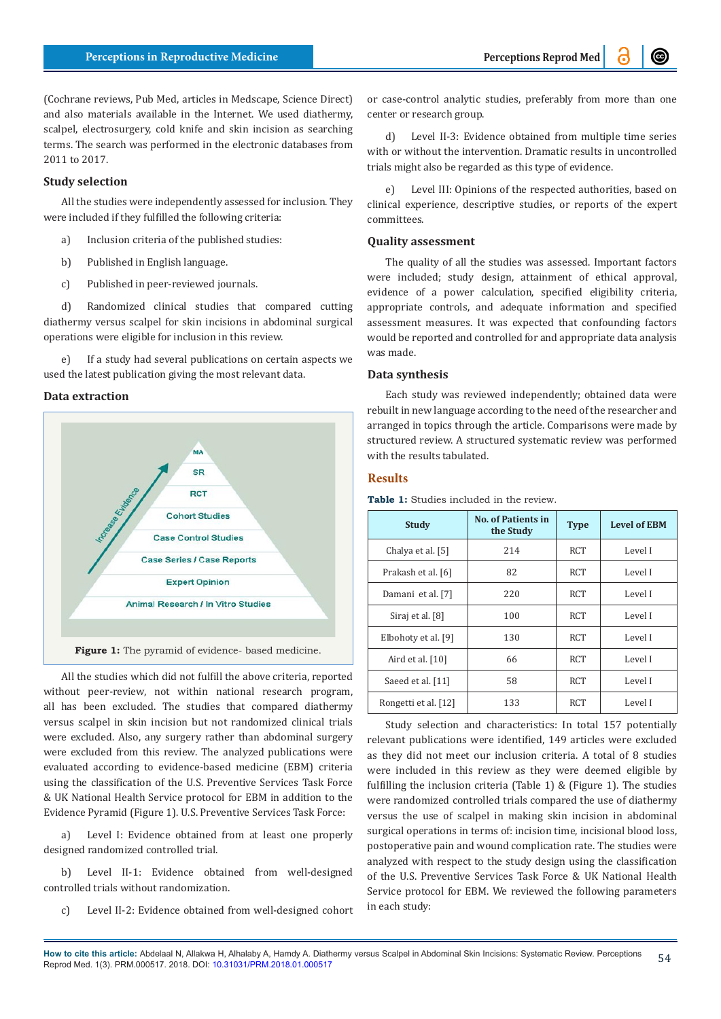(Cochrane reviews, Pub Med, articles in Medscape, Science Direct) and also materials available in the Internet. We used diathermy, scalpel, electrosurgery, cold knife and skin incision as searching terms. The search was performed in the electronic databases from 2011 to 2017.

#### **Study selection**

All the studies were independently assessed for inclusion. They were included if they fulfilled the following criteria:

- a) Inclusion criteria of the published studies:
- b) Published in English language.
- c) Published in peer-reviewed journals.

d) Randomized clinical studies that compared cutting diathermy versus scalpel for skin incisions in abdominal surgical operations were eligible for inclusion in this review.

e) If a study had several publications on certain aspects we used the latest publication giving the most relevant data.

#### **Data extraction**



All the studies which did not fulfill the above criteria, reported without peer-review, not within national research program, all has been excluded. The studies that compared diathermy versus scalpel in skin incision but not randomized clinical trials were excluded. Also, any surgery rather than abdominal surgery were excluded from this review. The analyzed publications were evaluated according to evidence-based medicine (EBM) criteria using the classification of the U.S. Preventive Services Task Force & UK National Health Service protocol for EBM in addition to the Evidence Pyramid (Figure 1). U.S. Preventive Services Task Force:

a) Level I: Evidence obtained from at least one properly designed randomized controlled trial.

b) Level II-1: Evidence obtained from well-designed controlled trials without randomization.

c) Level II-2: Evidence obtained from well-designed cohort

or case-control analytic studies, preferably from more than one center or research group.

d) Level II-3: Evidence obtained from multiple time series with or without the intervention. Dramatic results in uncontrolled trials might also be regarded as this type of evidence.

e) Level III: Opinions of the respected authorities, based on clinical experience, descriptive studies, or reports of the expert committees.

#### **Quality assessment**

The quality of all the studies was assessed. Important factors were included; study design, attainment of ethical approval, evidence of a power calculation, specified eligibility criteria, appropriate controls, and adequate information and specified assessment measures. It was expected that confounding factors would be reported and controlled for and appropriate data analysis was made.

#### **Data synthesis**

Each study was reviewed independently; obtained data were rebuilt in new language according to the need of the researcher and arranged in topics through the article. Comparisons were made by structured review. A structured systematic review was performed with the results tabulated.

#### **Results**

**Table 1:** Studies included in the review.

| <b>Study</b>         | <b>No. of Patients in</b><br>the Study | <b>Type</b> | <b>Level of EBM</b> |
|----------------------|----------------------------------------|-------------|---------------------|
| Chalya et al. [5]    | 214                                    | RCT         | Level I             |
| Prakash et al. [6]   | 82                                     | <b>RCT</b>  | Level I             |
| Damani et al. [7]    | 220                                    | RCT         | Level I             |
| Siraj et al. [8]     | 100                                    | <b>RCT</b>  | Level I             |
| Elbohoty et al. [9]  | 130                                    | <b>RCT</b>  | Level I             |
| Aird et al. $[10]$   | 66                                     | <b>RCT</b>  | Level I             |
| Saeed et al. [11]    | 58                                     | <b>RCT</b>  | Level I             |
| Rongetti et al. [12] | 133                                    | RCT         | Level I             |

Study selection and characteristics: In total 157 potentially relevant publications were identified, 149 articles were excluded as they did not meet our inclusion criteria. A total of 8 studies were included in this review as they were deemed eligible by fulfilling the inclusion criteria (Table 1) & (Figure 1). The studies were randomized controlled trials compared the use of diathermy versus the use of scalpel in making skin incision in abdominal surgical operations in terms of: incision time, incisional blood loss, postoperative pain and wound complication rate. The studies were analyzed with respect to the study design using the classification of the U.S. Preventive Services Task Force & UK National Health Service protocol for EBM. We reviewed the following parameters in each study: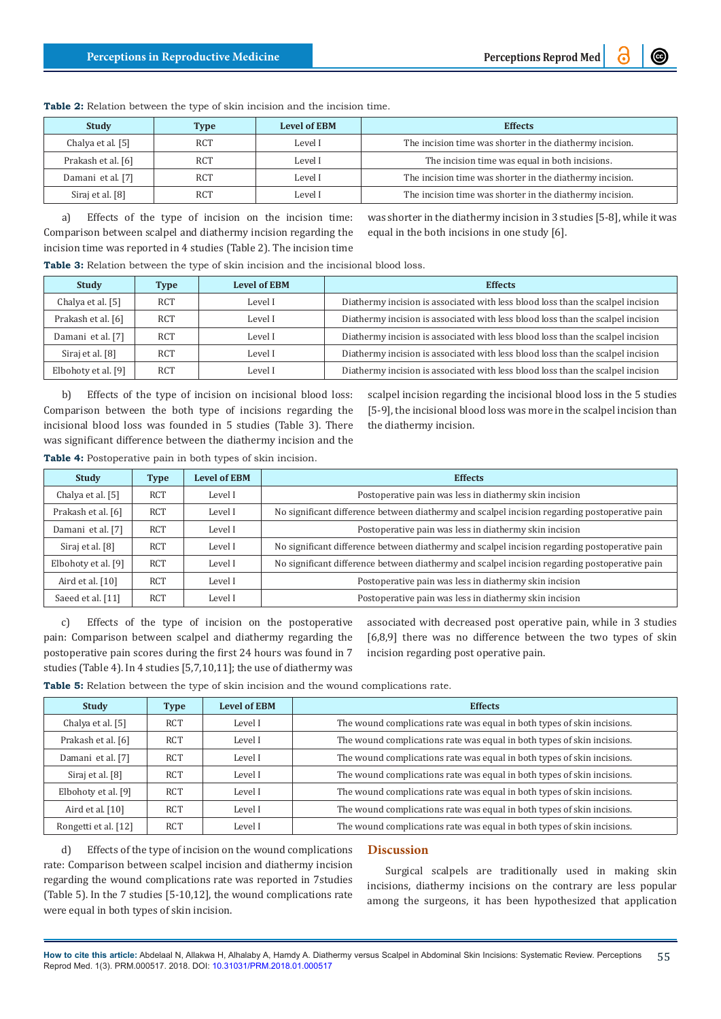| <b>Study</b>       | <b>Type</b> | <b>Level of EBM</b> | <b>Effects</b>                                           |
|--------------------|-------------|---------------------|----------------------------------------------------------|
| Chalya et al. [5]  | <b>RCT</b>  | Level I             | The incision time was shorter in the diathermy incision. |
| Prakash et al. [6] | <b>RCT</b>  | Level I             | The incision time was equal in both incisions.           |
| Damani et al. [7]  | <b>RCT</b>  | Level I             | The incision time was shorter in the diathermy incision. |
| Siraj et al. [8]   | <b>RCT</b>  | Level I             | The incision time was shorter in the diathermy incision. |

**Table 2:** Relation between the type of skin incision and the incision time.

a) Effects of the type of incision on the incision time: Comparison between scalpel and diathermy incision regarding the incision time was reported in 4 studies (Table 2). The incision time

was shorter in the diathermy incision in 3 studies [5-8], while it was equal in the both incisions in one study [6].

**Table 3:** Relation between the type of skin incision and the incisional blood loss.

| <b>Study</b>        | <b>Type</b> | <b>Level of EBM</b> | <b>Effects</b>                                                                  |
|---------------------|-------------|---------------------|---------------------------------------------------------------------------------|
| Chalya et al. [5]   | <b>RCT</b>  | Level I             | Diathermy incision is associated with less blood loss than the scalpel incision |
| Prakash et al. [6]  | <b>RCT</b>  | Level I             | Diathermy incision is associated with less blood loss than the scalpel incision |
| Damani et al. [7]   | <b>RCT</b>  | Level I             | Diathermy incision is associated with less blood loss than the scalpel incision |
| Siraj et al. [8]    | <b>RCT</b>  | Level I             | Diathermy incision is associated with less blood loss than the scalpel incision |
| Elbohoty et al. [9] | <b>RCT</b>  | Level I             | Diathermy incision is associated with less blood loss than the scalpel incision |

b) Effects of the type of incision on incisional blood loss: Comparison between the both type of incisions regarding the incisional blood loss was founded in 5 studies (Table 3). There was significant difference between the diathermy incision and the **Table 4:** Postoperative pain in both types of skin incision.

scalpel incision regarding the incisional blood loss in the 5 studies [5-9], the incisional blood loss was more in the scalpel incision than the diathermy incision.

| Study               | <b>Type</b> | <b>Level of EBM</b> | <b>Effects</b>                                                                                |
|---------------------|-------------|---------------------|-----------------------------------------------------------------------------------------------|
| Chalya et al. [5]   | RCT         | Level I             | Postoperative pain was less in diathermy skin incision                                        |
| Prakash et al. [6]  | RCT         | Level I             | No significant difference between diathermy and scalpel incision regarding postoperative pain |
| Damani et al. [7]   | RCT         | Level I             | Postoperative pain was less in diathermy skin incision                                        |
| Siraj et al. [8]    | RCT         | Level I             | No significant difference between diathermy and scalpel incision regarding postoperative pain |
| Elbohoty et al. [9] | RCT         | Level I             | No significant difference between diathermy and scalpel incision regarding postoperative pain |
| Aird et al. $[10]$  | RCT         | Level I             | Postoperative pain was less in diathermy skin incision                                        |
| Saeed et al. [11]   | RCT         | Level I             | Postoperative pain was less in diathermy skin incision                                        |
|                     |             |                     |                                                                                               |

c) Effects of the type of incision on the postoperative pain: Comparison between scalpel and diathermy regarding the postoperative pain scores during the first 24 hours was found in 7 studies (Table 4). In 4 studies [5,7,10,11]; the use of diathermy was

associated with decreased post operative pain, while in 3 studies [6,8,9] there was no difference between the two types of skin incision regarding post operative pain.

**Table 5:** Relation between the type of skin incision and the wound complications rate.

| <b>Study</b>         | <b>Type</b> | <b>Level of EBM</b> | <b>Effects</b>                                                          |
|----------------------|-------------|---------------------|-------------------------------------------------------------------------|
| Chalya et al. [5]    | <b>RCT</b>  | Level I             | The wound complications rate was equal in both types of skin incisions. |
| Prakash et al. [6]   | <b>RCT</b>  | Level I             | The wound complications rate was equal in both types of skin incisions. |
| Damani et al. [7]    | <b>RCT</b>  | Level I             | The wound complications rate was equal in both types of skin incisions. |
| Siraj et al. [8]     | <b>RCT</b>  | Level I             | The wound complications rate was equal in both types of skin incisions. |
| Elbohoty et al. [9]  | <b>RCT</b>  | Level I             | The wound complications rate was equal in both types of skin incisions. |
| Aird et al. [10]     | <b>RCT</b>  | Level I             | The wound complications rate was equal in both types of skin incisions. |
| Rongetti et al. [12] | <b>RCT</b>  | Level I             | The wound complications rate was equal in both types of skin incisions. |

d) Effects of the type of incision on the wound complications rate: Comparison between scalpel incision and diathermy incision regarding the wound complications rate was reported in 7studies (Table 5). In the 7 studies [5-10,12], the wound complications rate were equal in both types of skin incision.

## **Discussion**

Surgical scalpels are traditionally used in making skin incisions, diathermy incisions on the contrary are less popular among the surgeons, it has been hypothesized that application

**How to cite this article:** Abdelaal N, Allakwa H, Alhalaby A, Hamdy A. Diathermy versus Scalpel in Abdominal Skin Incisions: Systematic Review. Perceptions Reprod Med. 1(3). PRM.000517. 2018. DOI: [10.31031/PRM.2018.01.000517](http://dx.doi.org/10.31031/PRM.2018.01.000517
) 55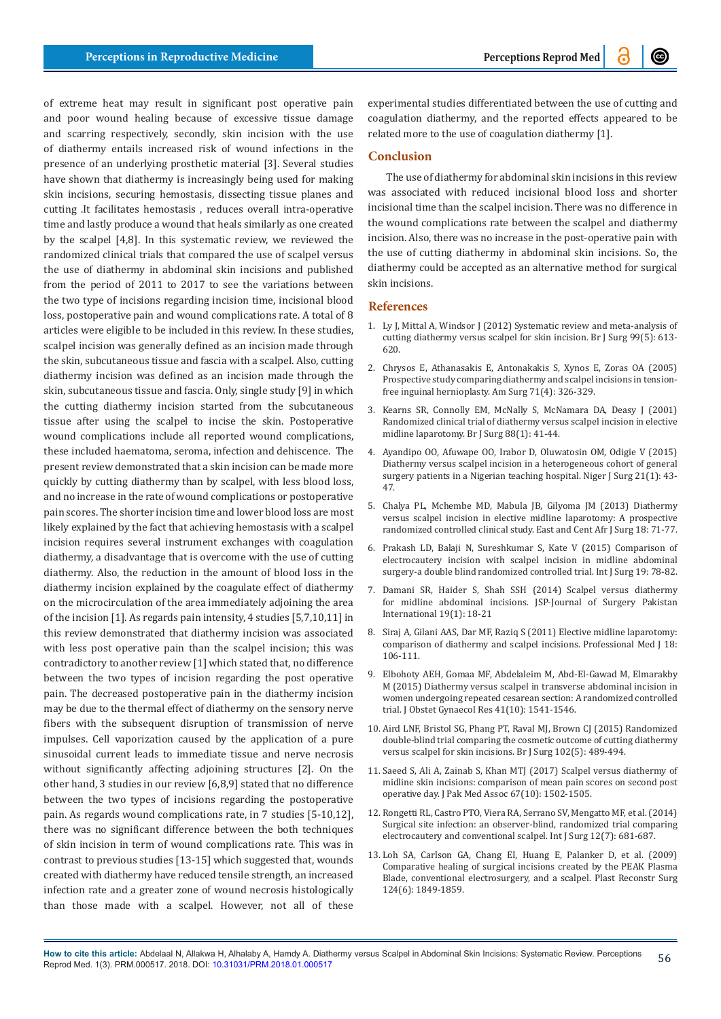of extreme heat may result in significant post operative pain and poor wound healing because of excessive tissue damage and scarring respectively, secondly, skin incision with the use of diathermy entails increased risk of wound infections in the presence of an underlying prosthetic material [3]. Several studies have shown that diathermy is increasingly being used for making skin incisions, securing hemostasis, dissecting tissue planes and cutting .It facilitates hemostasis , reduces overall intra-operative time and lastly produce a wound that heals similarly as one created by the scalpel [4,8]. In this systematic review, we reviewed the randomized clinical trials that compared the use of scalpel versus the use of diathermy in abdominal skin incisions and published from the period of 2011 to 2017 to see the variations between the two type of incisions regarding incision time, incisional blood loss, postoperative pain and wound complications rate. A total of 8 articles were eligible to be included in this review. In these studies, scalpel incision was generally defined as an incision made through the skin, subcutaneous tissue and fascia with a scalpel. Also, cutting diathermy incision was defined as an incision made through the skin, subcutaneous tissue and fascia. Only, single study [9] in which the cutting diathermy incision started from the subcutaneous tissue after using the scalpel to incise the skin. Postoperative wound complications include all reported wound complications, these included haematoma, seroma, infection and dehiscence. The present review demonstrated that a skin incision can be made more quickly by cutting diathermy than by scalpel, with less blood loss, and no increase in the rate of wound complications or postoperative pain scores. The shorter incision time and lower blood loss are most likely explained by the fact that achieving hemostasis with a scalpel incision requires several instrument exchanges with coagulation diathermy, a disadvantage that is overcome with the use of cutting diathermy. Also, the reduction in the amount of blood loss in the diathermy incision explained by the coagulate effect of diathermy on the microcirculation of the area immediately adjoining the area of the incision [1]. As regards pain intensity, 4 studies [5,7,10,11] in this review demonstrated that diathermy incision was associated with less post operative pain than the scalpel incision; this was contradictory to another review [1] which stated that, no difference between the two types of incision regarding the post operative pain. The decreased postoperative pain in the diathermy incision may be due to the thermal effect of diathermy on the sensory nerve fibers with the subsequent disruption of transmission of nerve impulses. Cell vaporization caused by the application of a pure sinusoidal current leads to immediate tissue and nerve necrosis without significantly affecting adjoining structures [2]. On the other hand, 3 studies in our review [6,8,9] stated that no difference between the two types of incisions regarding the postoperative pain. As regards wound complications rate, in 7 studies [5-10,12], there was no significant difference between the both techniques of skin incision in term of wound complications rate. This was in contrast to previous studies [13-15] which suggested that, wounds created with diathermy have reduced tensile strength, an increased infection rate and a greater zone of wound necrosis histologically than those made with a scalpel. However, not all of these experimental studies differentiated between the use of cutting and coagulation diathermy, and the reported effects appeared to be related more to the use of coagulation diathermy [1].

#### **Conclusion**

The use of diathermy for abdominal skin incisions in this review was associated with reduced incisional blood loss and shorter incisional time than the scalpel incision. There was no difference in the wound complications rate between the scalpel and diathermy incision. Also, there was no increase in the post-operative pain with the use of cutting diathermy in abdominal skin incisions. So, the diathermy could be accepted as an alternative method for surgical skin incisions.

#### **References**

- 1. [Ly J, Mittal A, Windsor J \(2012\) Systematic review and meta-analysis of](https://www.ncbi.nlm.nih.gov/pubmed/22367850)  [cutting diathermy versus scalpel for skin incision. Br J Surg 99\(5\): 613-](https://www.ncbi.nlm.nih.gov/pubmed/22367850) [620.](https://www.ncbi.nlm.nih.gov/pubmed/22367850)
- 2. [Chrysos E, Athanasakis E, Antonakakis S, Xynos E, Zoras OA \(2005\)](https://www.ncbi.nlm.nih.gov/pubmed/15943407)  [Prospective study comparing diathermy and scalpel incisions in tension](https://www.ncbi.nlm.nih.gov/pubmed/15943407)[free inguinal hernioplasty. Am Surg 71\(4\): 326-329.](https://www.ncbi.nlm.nih.gov/pubmed/15943407)
- 3. [Kearns SR, Connolly EM, McNally S, McNamara DA, Deasy J \(2001\)](https://www.ncbi.nlm.nih.gov/pubmed/11136307)  [Randomized clinical trial of diathermy versus scalpel incision in elective](https://www.ncbi.nlm.nih.gov/pubmed/11136307)  [midline laparotomy. Br J Surg 88\(1\): 41-44.](https://www.ncbi.nlm.nih.gov/pubmed/11136307)
- 4. [Ayandipo OO, Afuwape OO, Irabor D, Oluwatosin OM, Odigie V \(2015\)](https://www.ncbi.nlm.nih.gov/pubmed/25838766)  [Diathermy versus scalpel incision in a heterogeneous cohort of general](https://www.ncbi.nlm.nih.gov/pubmed/25838766)  [surgery patients in a Nigerian teaching hospital. Niger J Surg 21\(1\): 43-](https://www.ncbi.nlm.nih.gov/pubmed/25838766) [47.](https://www.ncbi.nlm.nih.gov/pubmed/25838766)
- 5. [Chalya PL, Mchembe MD, Mabula JB, Gilyoma JM \(2013\) Diathermy](https://www.ajol.info/index.php/ecajs/article/view/89927)  [versus scalpel incision in elective midline laparotomy: A prospective](https://www.ajol.info/index.php/ecajs/article/view/89927)  [randomized controlled clinical study. East and Cent Afr J Surg 18: 71-77.](https://www.ajol.info/index.php/ecajs/article/view/89927)
- 6. [Prakash LD, Balaji N, Sureshkumar S, Kate V \(2015\) Comparison of](https://www.ncbi.nlm.nih.gov/pubmed/26021211)  [electrocautery incision with scalpel incision in midline abdominal](https://www.ncbi.nlm.nih.gov/pubmed/26021211)  [surgery-a double blind randomized controlled trial. Int J Surg 19: 78-82.](https://www.ncbi.nlm.nih.gov/pubmed/26021211)
- 7. [Damani SR, Haider S, Shah SSH \(2014\) Scalpel versus diathermy](https://www.jsp.org.pk/Issues/JSP%2019%20(1)%20Jan-Mar%202014%20PDF/Shireen%20Ramzan%20Ali%20OA.pdf)  [for midline abdominal incisions. JSP-Journal of Surgery Pakistan](https://www.jsp.org.pk/Issues/JSP%2019%20(1)%20Jan-Mar%202014%20PDF/Shireen%20Ramzan%20Ali%20OA.pdf)  [International 19\(1\): 18-21](https://www.jsp.org.pk/Issues/JSP%2019%20(1)%20Jan-Mar%202014%20PDF/Shireen%20Ramzan%20Ali%20OA.pdf)
- 8. Siraj A, Gilani AAS, Dar MF, Raziq S (2011) Elective midline laparotomy: comparison of diathermy and scalpel incisions. Professional Med J 18: 106-111.
- 9. [Elbohoty AEH, Gomaa MF, Abdelaleim M, Abd-El-Gawad M, Elmarakby](https://www.ncbi.nlm.nih.gov/pubmed/26446416)  [M \(2015\) Diathermy versus scalpel in transverse abdominal incision in](https://www.ncbi.nlm.nih.gov/pubmed/26446416)  [women undergoing repeated cesarean section: A randomized controlled](https://www.ncbi.nlm.nih.gov/pubmed/26446416)  [trial. J Obstet Gynaecol Res 41\(10\): 1541-1546.](https://www.ncbi.nlm.nih.gov/pubmed/26446416)
- 10. [Aird LNF, Bristol SG, Phang PT, Raval MJ, Brown CJ \(2015\) Randomized](https://www.ncbi.nlm.nih.gov/pubmed/25692789)  [double-blind trial comparing the cosmetic outcome of cutting diathermy](https://www.ncbi.nlm.nih.gov/pubmed/25692789)  [versus scalpel for skin incisions. Br J Surg 102\(5\): 489-494.](https://www.ncbi.nlm.nih.gov/pubmed/25692789)
- 11. [Saeed S, Ali A, Zainab S, Khan MTJ \(2017\) Scalpel versus diathermy of](https://www.ncbi.nlm.nih.gov/pubmed/28955064)  [midline skin incisions: comparison of mean pain scores on second post](https://www.ncbi.nlm.nih.gov/pubmed/28955064)  [operative day. J Pak Med Assoc 67\(10\): 1502-1505.](https://www.ncbi.nlm.nih.gov/pubmed/28955064)
- 12. [Rongetti RL, Castro PTO, Viera RA, Serrano SV, Mengatto MF, et al. \(2014\)](https://www.ncbi.nlm.nih.gov/pubmed/24866067)  [Surgical site infection: an observer-blind, randomized trial comparing](https://www.ncbi.nlm.nih.gov/pubmed/24866067)  [electrocautery and conventional scalpel. Int J Surg 12\(7\): 681-687.](https://www.ncbi.nlm.nih.gov/pubmed/24866067)
- 13. [Loh SA, Carlson GA, Chang EI, Huang E, Palanker D, et al. \(2009\)](https://www.ncbi.nlm.nih.gov/pubmed/19952641)  [Comparative healing of surgical incisions created by the PEAK Plasma](https://www.ncbi.nlm.nih.gov/pubmed/19952641)  [Blade, conventional electrosurgery, and a scalpel. Plast Reconstr Surg](https://www.ncbi.nlm.nih.gov/pubmed/19952641)  [124\(6\): 1849-1859.](https://www.ncbi.nlm.nih.gov/pubmed/19952641)

**How to cite this article:** Abdelaal N, Allakwa H, Alhalaby A, Hamdy A. Diathermy versus Scalpel in Abdominal Skin Incisions: Systematic Review. Perceptions Reprod Med. 1(3). PRM.000517. 2018. DOI: [10.31031/PRM.2018.01.000517](http://dx.doi.org/10.31031/PRM.2018.01.000517
) 56